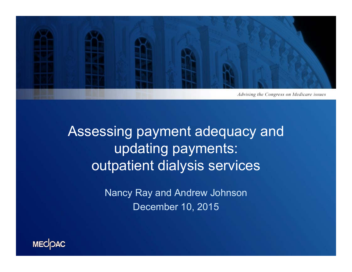

Assessing payment adequacy and updating payments: outpatient dialysis services

> Nancy Ray and Andrew Johnson December 10, 2015

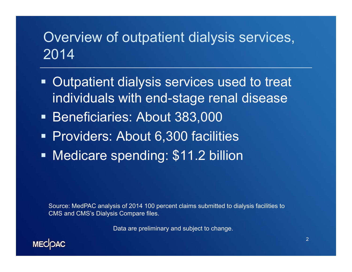# Overview of outpatient dialysis services, 2014

- $\blacksquare$  Outpatient dialysis services used to treat individuals with end-stage renal disease
- **Beneficiaries: About 383,000**
- **Providers: About 6,300 facilities**
- Ξ **- Medicare spending: \$11.2 billion**

Source: MedPAC analysis of 2014 100 percent claims submitted to dialysis facilities to CMS and CMS's Dialysis Compare files.

Data are preliminary and subject to change.

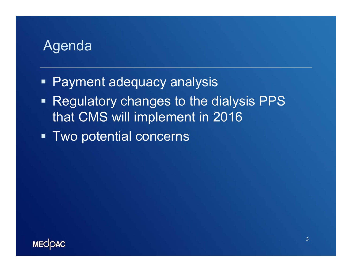## **Agenda**

- Payment adequacy analysis
- **Regulatory changes to the dialysis PPS** that CMS will implement in 2016
- **Two potential concerns**

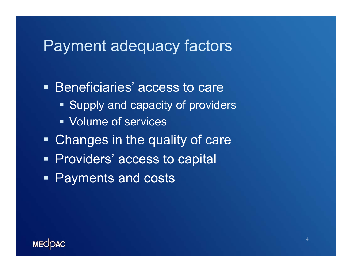## Payment adequacy factors

**Beneficiaries' access to care Supply and capacity of providers**  Volume of services **- Changes in the quality of care Providers' access to capital** Payments and costs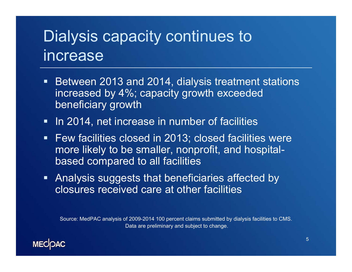# Dialysis capacity continues to increase

- $\blacksquare$  Between 2013 and 2014, dialysis treatment stations increased by 4%; capacity growth exceeded beneficiary growth
- **IF 10 2014, net increase in number of facilities**
- **Few facilities closed in 2013; closed facilities were** more likely to be smaller, nonprofit, and hospitalbased compared to all facilities
- **Analysis suggests that beneficiaries affected by** closures received care at other facilities

Source: MedPAC analysis of 2009-2014 100 percent claims submitted by dialysis facilities to CMS. Data are preliminary and subject to change.

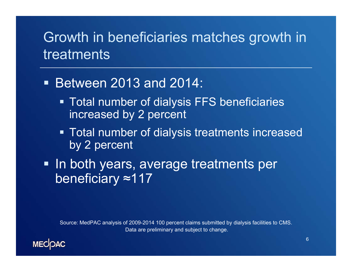# Growth in beneficiaries matches growth in treatments

- Between 2013 and 2014:
	- **Total number of dialysis FFS beneficiaries** increased by 2 percent
	- **Total number of dialysis treatments increased** by 2 percent
- **In both years, average treatments per langle transformation** beneficiary ≈117

Source: MedPAC analysis of 2009-2014 100 percent claims submitted by dialysis facilities to CMS. Data are preliminary and subject to change.

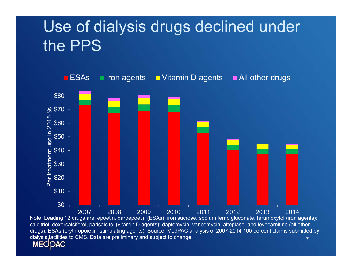# Use of dialysis drugs declined under the PPS



7 Note: Leading 12 drugs are: epoetin, darbepoetin (ESAs); iron sucrose, sodium ferric gluconate, ferumoxytol (iron agents); calcitriol, doxercalciferol, paricalcitol (vitamin D agents); daptomycin, vancomycin, alteplase, and levocarnitine (all other drugs). ESAs (erythropoietin stimulating agents). Source: MedPAC analysis of 2007-2014 100 percent claims submitted by dialysis facilities to CMS. Data are preliminary and subject to change.

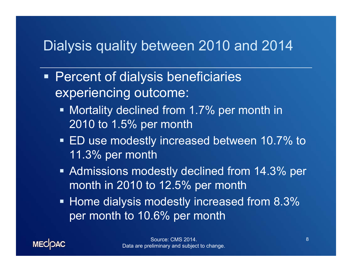## Dialysis quality between 2010 and 2014

- **Percent of dialysis beneficiaries** experiencing outcome:
	- **Mortality declined from 1.7% per month in** 2010 to 1.5% per month
	- ED use modestly increased between 10.7% to 11.3% per month
	- **Admissions modestly declined from 14.3% per** month in 2010 to 12.5% per month
	- Home dialysis modestly increased from 8.3% per month to 10.6% per month

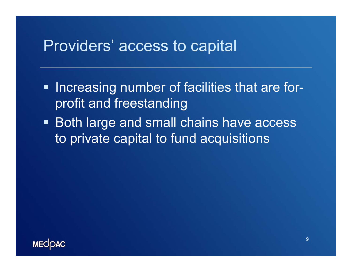## Providers' access to capital

- **Increasing number of facilities that are for**profit and freestanding
- Both large and small chains have access to private capital to fund acquisitions

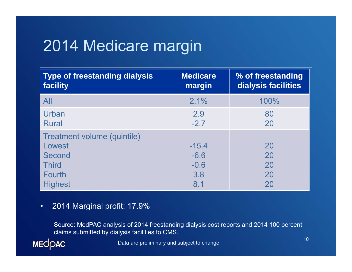# 2014 Medicare margin

| <b>Type of freestanding dialysis</b>                            | <b>Medicare</b>             | % of freestanding   |
|-----------------------------------------------------------------|-----------------------------|---------------------|
| facility                                                        | margin                      | dialysis facilities |
| All                                                             | 2.1%                        | 100%                |
| Urban                                                           | 2.9                         | 80                  |
| <b>Rural</b>                                                    | $-2.7$                      | 20                  |
| Treatment volume (quintile)<br>Lowest<br>Second<br><b>Third</b> | $-15.4$<br>$-6.6$<br>$-0.6$ | 20<br>20<br>20      |
| Fourth                                                          | 3.8                         | 20                  |
| <b>Highest</b>                                                  | 8.1                         | 20                  |

#### •2014 Marginal profit: 17.9%

Source: MedPAC analysis of 2014 freestanding dialysis cost reports and 2014 100 percent claims submitted by dialysis facilities to CMS.

MECOAC

Data are preliminary and subject to change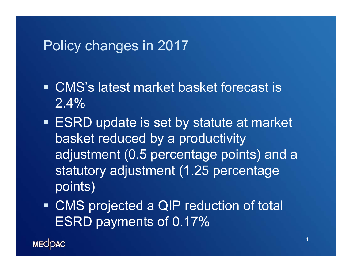#### Policy changes in 2017

- CMS's latest market basket forecast is 2.4%
- ESRD update is set by statute at market basket reduced by a productivity adjustment (0.5 percentage points) and a statutory adjustment (1.25 percentage points)
- CMS projected a QIP reduction of total ESRD payments of 0.17%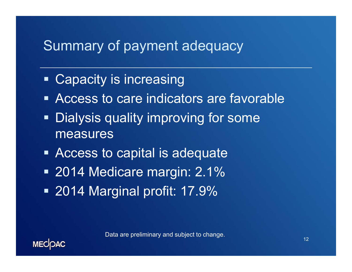## Summary of payment adequacy

- **Capacity is increasing**
- Access to care indicators are favorable
- **Dialysis quality improving for some** measures
- **Example 2 Access to capital is adequate**
- 2014 Medicare margin: 2.1% 2014 Marginal profit: 17.9%

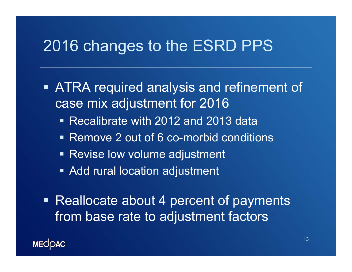# 2016 changes to the ESRD PPS

- **ATRA required analysis and refinement of** case mix adjustment for 2016
	- Recalibrate with 2012 and 2013 data
	- Remove 2 out of 6 co-morbid conditions
	- Revise low volume adjustment
	- Add rural location adjustment
- Reallocate about 4 percent of payments from base rate to adjustment factors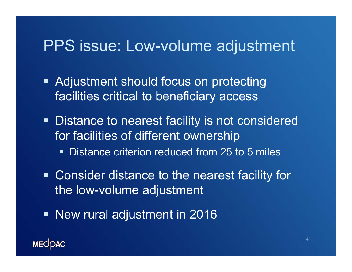## PPS issue: Low-volume adjustment

- **Adjustment should focus on protecting** facilities critical to beneficiary access
- **Distance to nearest facility is not considered** for facilities of different ownership
	- $\blacksquare$ Distance criterion reduced from 25 to 5 miles
- **EX Consider distance to the nearest facility for** the low-volume adjustment
- New rural adjustment in 2016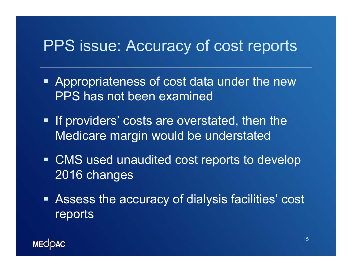# PPS issue: Accuracy of cost reports

- **Appropriateness of cost data under the new** PPS has not been examined
- **If providers' costs are overstated, then the** Medicare margin would be understated
- CMS used unaudited cost reports to develop 2016 changes
- Assess the accuracy of dialysis facilities' cost reports